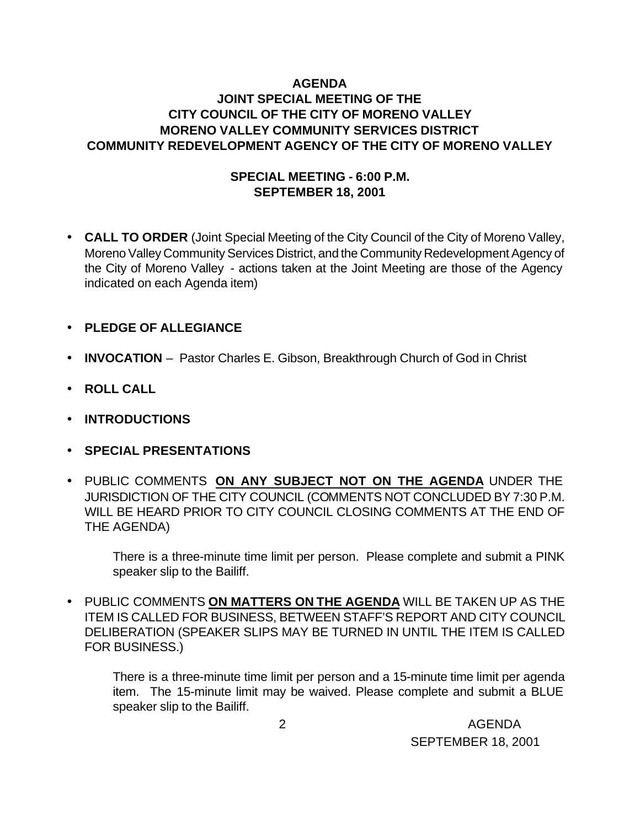### **AGENDA JOINT SPECIAL MEETING OF THE CITY COUNCIL OF THE CITY OF MORENO VALLEY MORENO VALLEY COMMUNITY SERVICES DISTRICT COMMUNITY REDEVELOPMENT AGENCY OF THE CITY OF MORENO VALLEY**

### **SPECIAL MEETING - 6:00 P.M. SEPTEMBER 18, 2001**

- **CALL TO ORDER** (Joint Special Meeting of the City Council of the City of Moreno Valley, Moreno Valley Community Services District, and the Community Redevelopment Agency of the City of Moreno Valley - actions taken at the Joint Meeting are those of the Agency indicated on each Agenda item)
- **PLEDGE OF ALLEGIANCE**
- **INVOCATION** Pastor Charles E. Gibson, Breakthrough Church of God in Christ
- **ROLL CALL**
- **INTRODUCTIONS**
- **SPECIAL PRESENTATIONS**
- PUBLIC COMMENTS **ON ANY SUBJECT NOT ON THE AGENDA** UNDER THE JURISDICTION OF THE CITY COUNCIL (COMMENTS NOT CONCLUDED BY 7:30 P.M. WILL BE HEARD PRIOR TO CITY COUNCIL CLOSING COMMENTS AT THE END OF THE AGENDA)

There is a three-minute time limit per person. Please complete and submit a PINK speaker slip to the Bailiff.

• PUBLIC COMMENTS **ON MATTERS ON THE AGENDA** WILL BE TAKEN UP AS THE ITEM IS CALLED FOR BUSINESS, BETWEEN STAFF'S REPORT AND CITY COUNCIL DELIBERATION (SPEAKER SLIPS MAY BE TURNED IN UNTIL THE ITEM IS CALLED FOR BUSINESS.)

There is a three-minute time limit per person and a 15-minute time limit per agenda item. The 15-minute limit may be waived. Please complete and submit a BLUE speaker slip to the Bailiff.

 2 AGENDA SEPTEMBER 18, 2001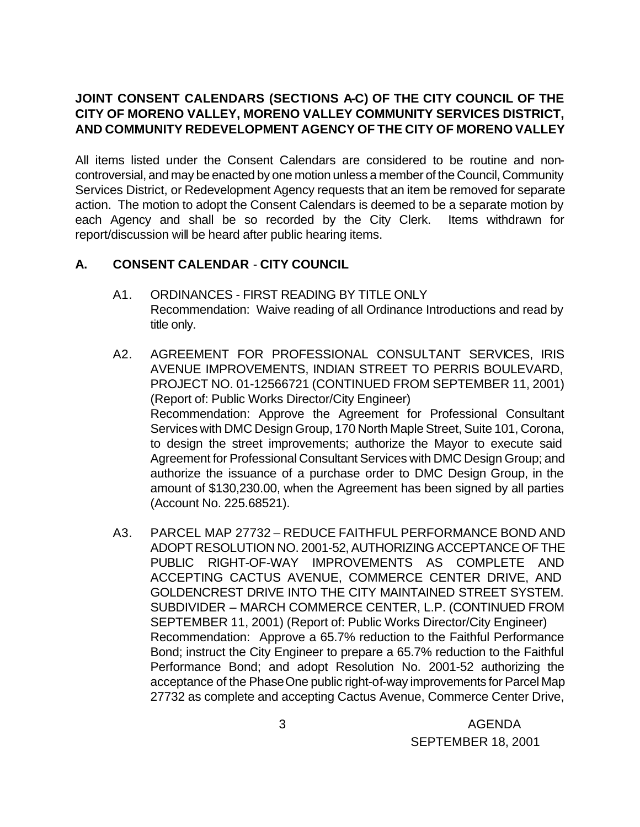# **JOINT CONSENT CALENDARS (SECTIONS A-C) OF THE CITY COUNCIL OF THE CITY OF MORENO VALLEY, MORENO VALLEY COMMUNITY SERVICES DISTRICT, AND COMMUNITY REDEVELOPMENT AGENCY OF THE CITY OF MORENO VALLEY**

All items listed under the Consent Calendars are considered to be routine and noncontroversial, and may be enacted by one motion unless a member of the Council, Community Services District, or Redevelopment Agency requests that an item be removed for separate action. The motion to adopt the Consent Calendars is deemed to be a separate motion by each Agency and shall be so recorded by the City Clerk. Items withdrawn for report/discussion will be heard after public hearing items.

# **A. CONSENT CALENDAR** - **CITY COUNCIL**

- A1. ORDINANCES FIRST READING BY TITLE ONLY Recommendation: Waive reading of all Ordinance Introductions and read by title only.
- A2. AGREEMENT FOR PROFESSIONAL CONSULTANT SERVICES, IRIS AVENUE IMPROVEMENTS, INDIAN STREET TO PERRIS BOULEVARD, PROJECT NO. 01-12566721 (CONTINUED FROM SEPTEMBER 11, 2001) (Report of: Public Works Director/City Engineer) Recommendation: Approve the Agreement for Professional Consultant Services with DMC Design Group, 170 North Maple Street, Suite 101, Corona, to design the street improvements; authorize the Mayor to execute said Agreement for Professional Consultant Services with DMC Design Group; and authorize the issuance of a purchase order to DMC Design Group, in the amount of \$130,230.00, when the Agreement has been signed by all parties (Account No. 225.68521).
- A3. PARCEL MAP 27732 REDUCE FAITHFUL PERFORMANCE BOND AND ADOPT RESOLUTION NO. 2001-52, AUTHORIZING ACCEPTANCE OF THE PUBLIC RIGHT-OF-WAY IMPROVEMENTS AS COMPLETE AND ACCEPTING CACTUS AVENUE, COMMERCE CENTER DRIVE, AND GOLDENCREST DRIVE INTO THE CITY MAINTAINED STREET SYSTEM. SUBDIVIDER – MARCH COMMERCE CENTER, L.P. (CONTINUED FROM SEPTEMBER 11, 2001) (Report of: Public Works Director/City Engineer) Recommendation: Approve a 65.7% reduction to the Faithful Performance Bond; instruct the City Engineer to prepare a 65.7% reduction to the Faithful Performance Bond; and adopt Resolution No. 2001-52 authorizing the acceptance of the Phase One public right-of-way improvements for Parcel Map 27732 as complete and accepting Cactus Avenue, Commerce Center Drive,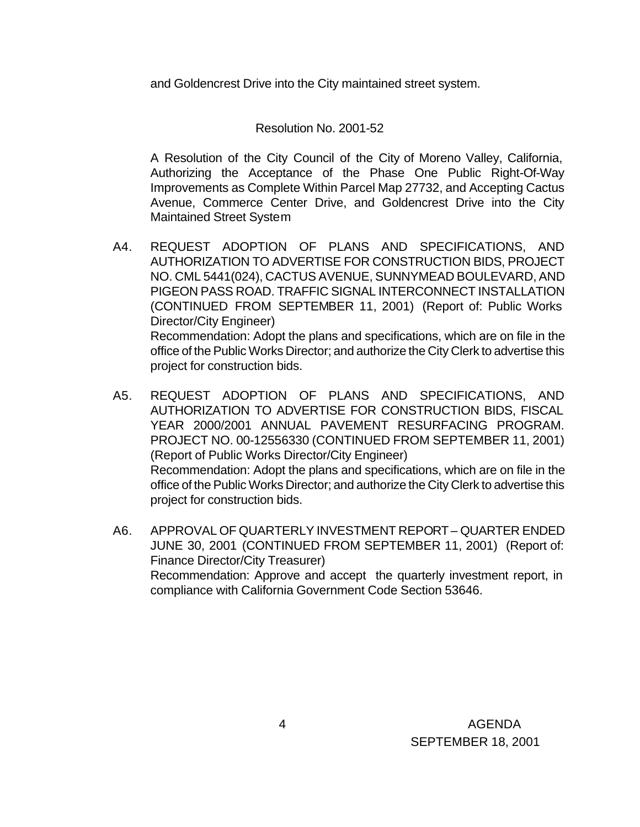and Goldencrest Drive into the City maintained street system.

#### Resolution No. 2001-52

A Resolution of the City Council of the City of Moreno Valley, California, Authorizing the Acceptance of the Phase One Public Right-Of-Way Improvements as Complete Within Parcel Map 27732, and Accepting Cactus Avenue, Commerce Center Drive, and Goldencrest Drive into the City Maintained Street System

- A4. REQUEST ADOPTION OF PLANS AND SPECIFICATIONS, AND AUTHORIZATION TO ADVERTISE FOR CONSTRUCTION BIDS, PROJECT NO. CML 5441(024), CACTUS AVENUE, SUNNYMEAD BOULEVARD, AND PIGEON PASS ROAD. TRAFFIC SIGNAL INTERCONNECT INSTALLATION (CONTINUED FROM SEPTEMBER 11, 2001) (Report of: Public Works Director/City Engineer) Recommendation: Adopt the plans and specifications, which are on file in the office of the Public Works Director; and authorize the City Clerk to advertise this project for construction bids.
- A5. REQUEST ADOPTION OF PLANS AND SPECIFICATIONS, AND AUTHORIZATION TO ADVERTISE FOR CONSTRUCTION BIDS, FISCAL YEAR 2000/2001 ANNUAL PAVEMENT RESURFACING PROGRAM. PROJECT NO. 00-12556330 (CONTINUED FROM SEPTEMBER 11, 2001) (Report of Public Works Director/City Engineer) Recommendation: Adopt the plans and specifications, which are on file in the office of the Public Works Director; and authorize the City Clerk to advertise this project for construction bids.
- A6. APPROVAL OF QUARTERLY INVESTMENT REPORT QUARTER ENDED JUNE 30, 2001 (CONTINUED FROM SEPTEMBER 11, 2001) (Report of: Finance Director/City Treasurer) Recommendation: Approve and accept the quarterly investment report, in compliance with California Government Code Section 53646.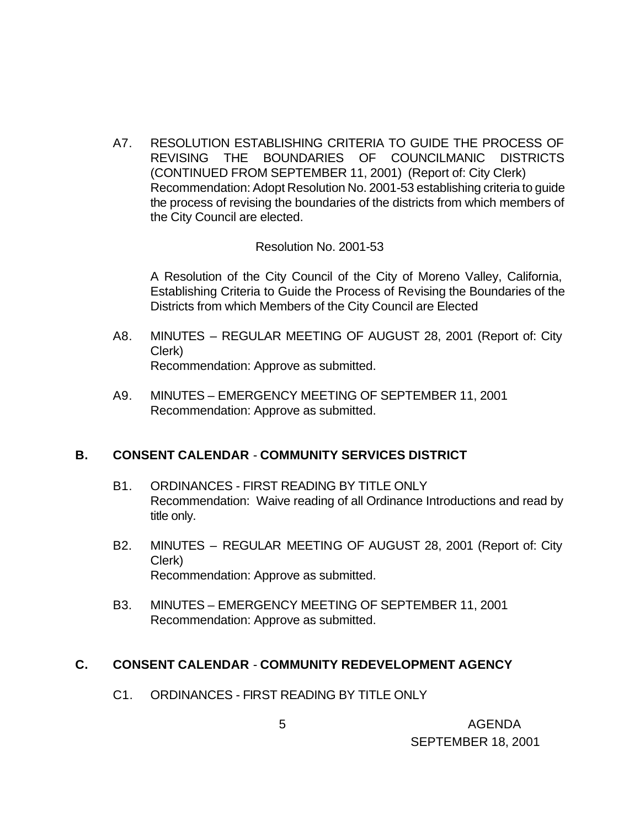A7. RESOLUTION ESTABLISHING CRITERIA TO GUIDE THE PROCESS OF REVISING THE BOUNDARIES OF COUNCILMANIC DISTRICTS (CONTINUED FROM SEPTEMBER 11, 2001) (Report of: City Clerk) Recommendation: Adopt Resolution No. 2001-53 establishing criteria to guide the process of revising the boundaries of the districts from which members of the City Council are elected.

Resolution No. 2001-53

A Resolution of the City Council of the City of Moreno Valley, California, Establishing Criteria to Guide the Process of Revising the Boundaries of the Districts from which Members of the City Council are Elected

- A8. MINUTES REGULAR MEETING OF AUGUST 28, 2001 (Report of: City Clerk) Recommendation: Approve as submitted.
- A9. MINUTES EMERGENCY MEETING OF SEPTEMBER 11, 2001 Recommendation: Approve as submitted.

### **B. CONSENT CALENDAR** - **COMMUNITY SERVICES DISTRICT**

- B1. ORDINANCES FIRST READING BY TITLE ONLY Recommendation: Waive reading of all Ordinance Introductions and read by title only.
- B2. MINUTES REGULAR MEETING OF AUGUST 28, 2001 (Report of: City Clerk) Recommendation: Approve as submitted.
- B3. MINUTES EMERGENCY MEETING OF SEPTEMBER 11, 2001 Recommendation: Approve as submitted.

#### **C. CONSENT CALENDAR** - **COMMUNITY REDEVELOPMENT AGENCY**

C1. ORDINANCES - FIRST READING BY TITLE ONLY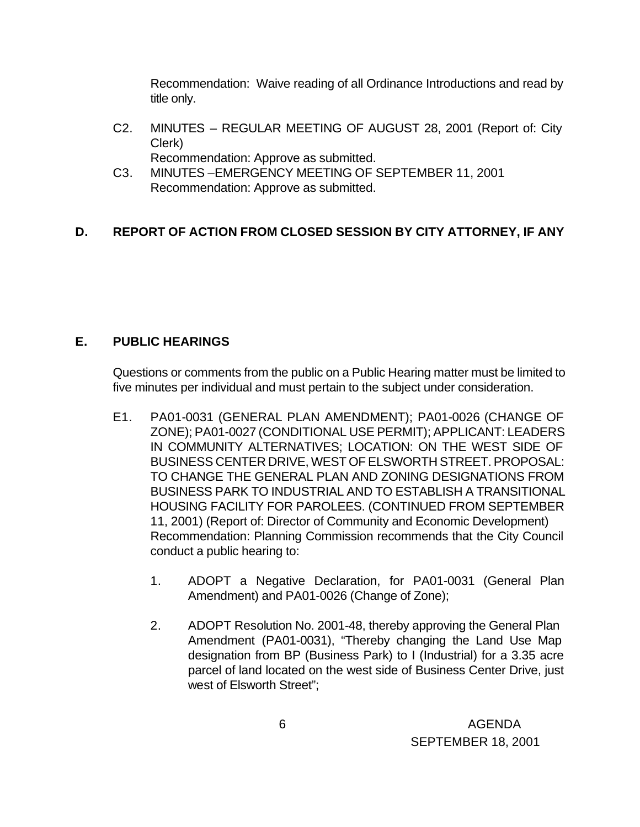Recommendation: Waive reading of all Ordinance Introductions and read by title only.

- C2. MINUTES REGULAR MEETING OF AUGUST 28, 2001 (Report of: City Clerk)
	- Recommendation: Approve as submitted.
- C3. MINUTES –EMERGENCY MEETING OF SEPTEMBER 11, 2001 Recommendation: Approve as submitted.

# **D. REPORT OF ACTION FROM CLOSED SESSION BY CITY ATTORNEY, IF ANY**

### **E. PUBLIC HEARINGS**

Questions or comments from the public on a Public Hearing matter must be limited to five minutes per individual and must pertain to the subject under consideration.

- E1. PA01-0031 (GENERAL PLAN AMENDMENT); PA01-0026 (CHANGE OF ZONE); PA01-0027 (CONDITIONAL USE PERMIT); APPLICANT: LEADERS IN COMMUNITY ALTERNATIVES; LOCATION: ON THE WEST SIDE OF BUSINESS CENTER DRIVE, WEST OF ELSWORTH STREET. PROPOSAL: TO CHANGE THE GENERAL PLAN AND ZONING DESIGNATIONS FROM BUSINESS PARK TO INDUSTRIAL AND TO ESTABLISH A TRANSITIONAL HOUSING FACILITY FOR PAROLEES. (CONTINUED FROM SEPTEMBER 11, 2001) (Report of: Director of Community and Economic Development) Recommendation: Planning Commission recommends that the City Council conduct a public hearing to:
	- 1. ADOPT a Negative Declaration, for PA01-0031 (General Plan Amendment) and PA01-0026 (Change of Zone);
	- 2. ADOPT Resolution No. 2001-48, thereby approving the General Plan Amendment (PA01-0031), "Thereby changing the Land Use Map designation from BP (Business Park) to I (Industrial) for a 3.35 acre parcel of land located on the west side of Business Center Drive, just west of Elsworth Street";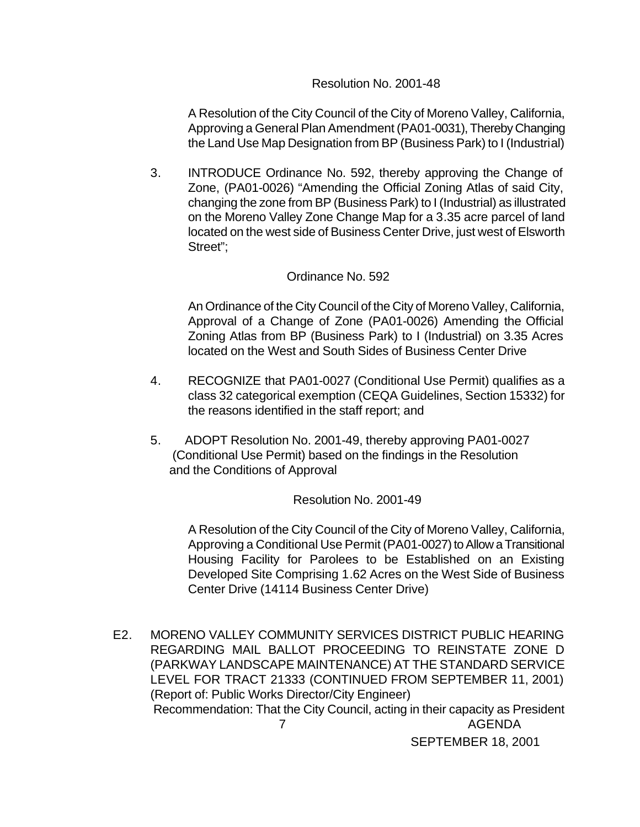#### Resolution No. 2001-48

A Resolution of the City Council of the City of Moreno Valley, California, Approving a General Plan Amendment (PA01-0031), Thereby Changing the Land Use Map Designation from BP (Business Park) to I (Industrial)

3. INTRODUCE Ordinance No. 592, thereby approving the Change of Zone, (PA01-0026) "Amending the Official Zoning Atlas of said City, changing the zone from BP (Business Park) to I (Industrial) as illustrated on the Moreno Valley Zone Change Map for a 3.35 acre parcel of land located on the west side of Business Center Drive, just west of Elsworth Street";

#### Ordinance No. 592

An Ordinance of the City Council of the City of Moreno Valley, California, Approval of a Change of Zone (PA01-0026) Amending the Official Zoning Atlas from BP (Business Park) to I (Industrial) on 3.35 Acres located on the West and South Sides of Business Center Drive

- 4. RECOGNIZE that PA01-0027 (Conditional Use Permit) qualifies as a class 32 categorical exemption (CEQA Guidelines, Section 15332) for the reasons identified in the staff report; and
- 5. ADOPT Resolution No. 2001-49, thereby approving PA01-0027 (Conditional Use Permit) based on the findings in the Resolution and the Conditions of Approval

#### Resolution No. 2001-49

A Resolution of the City Council of the City of Moreno Valley, California, Approving a Conditional Use Permit (PA01-0027) to Allow a Transitional Housing Facility for Parolees to be Established on an Existing Developed Site Comprising 1.62 Acres on the West Side of Business Center Drive (14114 Business Center Drive)

 7 AGENDA E2. MORENO VALLEY COMMUNITY SERVICES DISTRICT PUBLIC HEARING REGARDING MAIL BALLOT PROCEEDING TO REINSTATE ZONE D (PARKWAY LANDSCAPE MAINTENANCE) AT THE STANDARD SERVICE LEVEL FOR TRACT 21333 (CONTINUED FROM SEPTEMBER 11, 2001) (Report of: Public Works Director/City Engineer) Recommendation: That the City Council, acting in their capacity as President

SEPTEMBER 18, 2001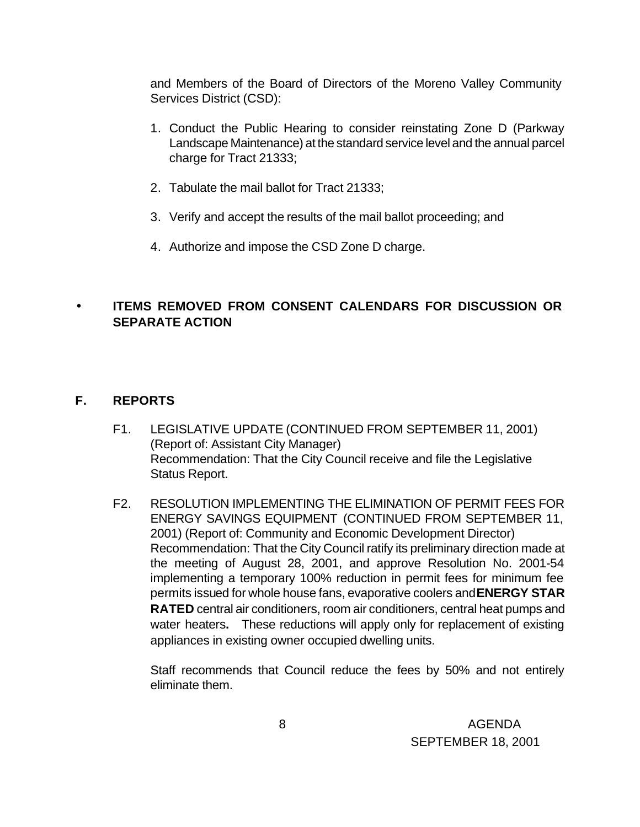and Members of the Board of Directors of the Moreno Valley Community Services District (CSD):

- 1. Conduct the Public Hearing to consider reinstating Zone D (Parkway Landscape Maintenance) at the standard service level and the annual parcel charge for Tract 21333;
- 2. Tabulate the mail ballot for Tract 21333;
- 3. Verify and accept the results of the mail ballot proceeding; and
- 4. Authorize and impose the CSD Zone D charge.

### • **ITEMS REMOVED FROM CONSENT CALENDARS FOR DISCUSSION OR SEPARATE ACTION**

### **F. REPORTS**

- F1. LEGISLATIVE UPDATE (CONTINUED FROM SEPTEMBER 11, 2001) (Report of: Assistant City Manager) Recommendation: That the City Council receive and file the Legislative Status Report.
- F2. RESOLUTION IMPLEMENTING THE ELIMINATION OF PERMIT FEES FOR ENERGY SAVINGS EQUIPMENT (CONTINUED FROM SEPTEMBER 11, 2001) (Report of: Community and Economic Development Director) Recommendation: That the City Council ratify its preliminary direction made at the meeting of August 28, 2001, and approve Resolution No. 2001-54 implementing a temporary 100% reduction in permit fees for minimum fee permits issued for whole house fans, evaporative coolers and **ENERGY STAR RATED** central air conditioners, room air conditioners, central heat pumps and water heaters**.** These reductions will apply only for replacement of existing appliances in existing owner occupied dwelling units.

Staff recommends that Council reduce the fees by 50% and not entirely eliminate them.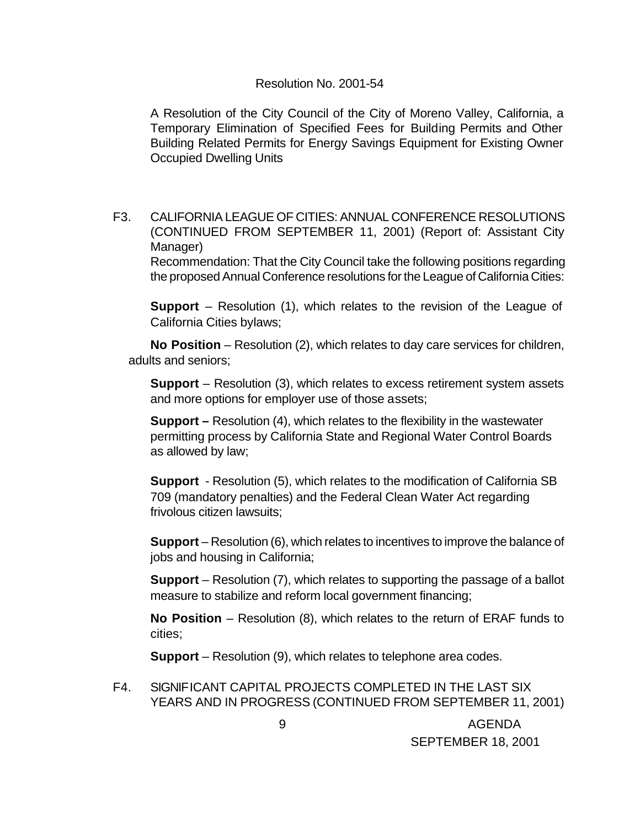#### Resolution No. 2001-54

A Resolution of the City Council of the City of Moreno Valley, California, a Temporary Elimination of Specified Fees for Building Permits and Other Building Related Permits for Energy Savings Equipment for Existing Owner Occupied Dwelling Units

F3. CALIFORNIA LEAGUE OF CITIES: ANNUAL CONFERENCE RESOLUTIONS (CONTINUED FROM SEPTEMBER 11, 2001) (Report of: Assistant City Manager) Recommendation: That the City Council take the following positions regarding the proposed Annual Conference resolutions for the League of California Cities:

**Support** – Resolution (1), which relates to the revision of the League of California Cities bylaws;

**No Position** – Resolution (2), which relates to day care services for children, adults and seniors;

**Support** – Resolution (3), which relates to excess retirement system assets and more options for employer use of those assets;

**Support –** Resolution (4), which relates to the flexibility in the wastewater permitting process by California State and Regional Water Control Boards as allowed by law;

**Support** - Resolution (5), which relates to the modification of California SB 709 (mandatory penalties) and the Federal Clean Water Act regarding frivolous citizen lawsuits;

**Support** – Resolution (6), which relates to incentives to improve the balance of jobs and housing in California;

**Support** – Resolution (7), which relates to supporting the passage of a ballot measure to stabilize and reform local government financing;

**No Position** – Resolution (8), which relates to the return of ERAF funds to cities;

**Support** – Resolution (9), which relates to telephone area codes.

F4. SIGNIFICANT CAPITAL PROJECTS COMPLETED IN THE LAST SIX YEARS AND IN PROGRESS (CONTINUED FROM SEPTEMBER 11, 2001)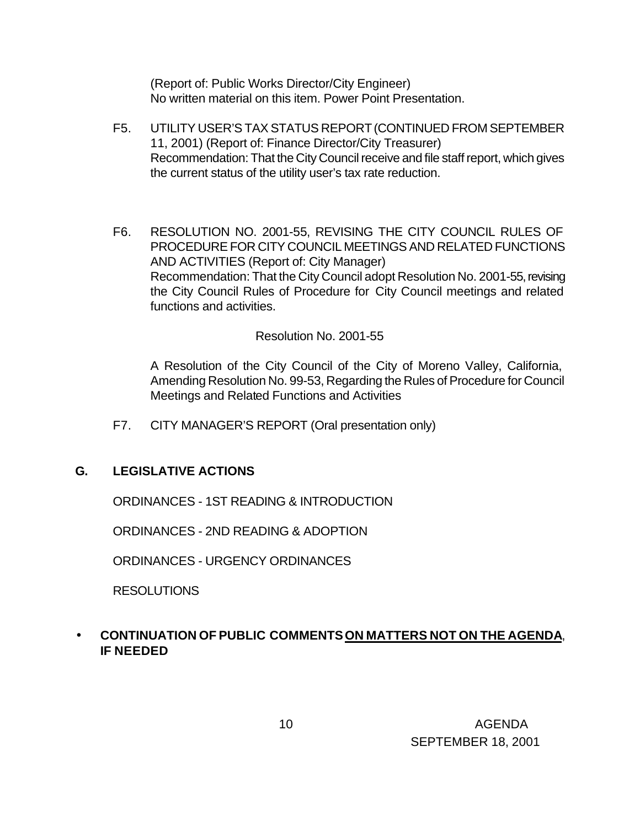(Report of: Public Works Director/City Engineer) No written material on this item. Power Point Presentation.

- F5. UTILITY USER'S TAX STATUS REPORT (CONTINUED FROM SEPTEMBER 11, 2001) (Report of: Finance Director/City Treasurer) Recommendation: That the City Council receive and file staff report, which gives the current status of the utility user's tax rate reduction.
- F6. RESOLUTION NO. 2001-55, REVISING THE CITY COUNCIL RULES OF PROCEDURE FOR CITY COUNCIL MEETINGS AND RELATED FUNCTIONS AND ACTIVITIES (Report of: City Manager) Recommendation: That the City Council adopt Resolution No. 2001-55, revising the City Council Rules of Procedure for City Council meetings and related functions and activities.

#### Resolution No. 2001-55

A Resolution of the City Council of the City of Moreno Valley, California, Amending Resolution No. 99-53, Regarding the Rules of Procedure for Council Meetings and Related Functions and Activities

F7. CITY MANAGER'S REPORT (Oral presentation only)

### **G. LEGISLATIVE ACTIONS**

ORDINANCES - 1ST READING & INTRODUCTION

ORDINANCES - 2ND READING & ADOPTION

ORDINANCES - URGENCY ORDINANCES

RESOLUTIONS

### • **CONTINUATION OF PUBLIC COMMENTS ON MATTERS NOT ON THE AGENDA**, **IF NEEDED**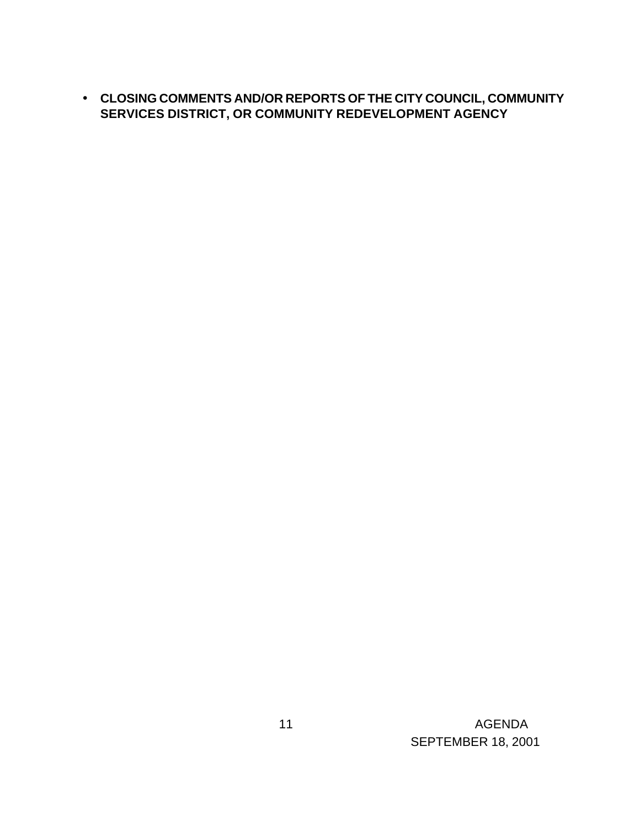• **CLOSING COMMENTS AND/OR REPORTS OF THE CITY COUNCIL, COMMUNITY SERVICES DISTRICT, OR COMMUNITY REDEVELOPMENT AGENCY**